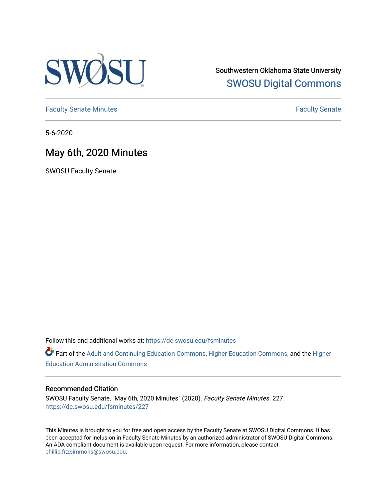

Southwestern Oklahoma State University [SWOSU Digital Commons](https://dc.swosu.edu/) 

[Faculty Senate Minutes](https://dc.swosu.edu/fsminutes) **Faculty** Senate Minutes

5-6-2020

## May 6th, 2020 Minutes

SWOSU Faculty Senate

Follow this and additional works at: [https://dc.swosu.edu/fsminutes](https://dc.swosu.edu/fsminutes?utm_source=dc.swosu.edu%2Ffsminutes%2F227&utm_medium=PDF&utm_campaign=PDFCoverPages) 

Part of the [Adult and Continuing Education Commons,](http://network.bepress.com/hgg/discipline/1375?utm_source=dc.swosu.edu%2Ffsminutes%2F227&utm_medium=PDF&utm_campaign=PDFCoverPages) [Higher Education Commons,](http://network.bepress.com/hgg/discipline/1245?utm_source=dc.swosu.edu%2Ffsminutes%2F227&utm_medium=PDF&utm_campaign=PDFCoverPages) and the [Higher](http://network.bepress.com/hgg/discipline/791?utm_source=dc.swosu.edu%2Ffsminutes%2F227&utm_medium=PDF&utm_campaign=PDFCoverPages) [Education Administration Commons](http://network.bepress.com/hgg/discipline/791?utm_source=dc.swosu.edu%2Ffsminutes%2F227&utm_medium=PDF&utm_campaign=PDFCoverPages) 

#### Recommended Citation

SWOSU Faculty Senate, "May 6th, 2020 Minutes" (2020). Faculty Senate Minutes. 227. [https://dc.swosu.edu/fsminutes/227](https://dc.swosu.edu/fsminutes/227?utm_source=dc.swosu.edu%2Ffsminutes%2F227&utm_medium=PDF&utm_campaign=PDFCoverPages) 

This Minutes is brought to you for free and open access by the Faculty Senate at SWOSU Digital Commons. It has been accepted for inclusion in Faculty Senate Minutes by an authorized administrator of SWOSU Digital Commons. An ADA compliant document is available upon request. For more information, please contact [phillip.fitzsimmons@swosu.edu](mailto:phillip.fitzsimmons@swosu.edu).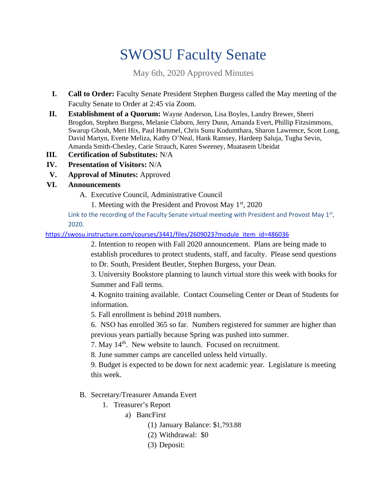# SWOSU Faculty Senate

May 6th, 2020 Approved Minutes

- **I. Call to Order:** Faculty Senate President Stephen Burgess called the May meeting of the Faculty Senate to Order at 2:45 via Zoom.
- **II. Establishment of a Quorum:** Wayne Anderson, Lisa Boyles, Landry Brewer, Sherri Brogdon, Stephen Burgess, Melanie Claborn, Jerry Dunn, Amanda Evert, Phillip Fitzsimmons, Swarup Ghosh, Meri Hix, Paul Hummel, Chris Sunu Kodumthara, Sharon Lawrence, Scott Long, David Martyn, Evette Meliza, Kathy O'Neal, Hank Ramsey, Hardeep Saluja, Tugba Sevin, Amanda Smith-Chesley, Carie Strauch, Karen Sweeney, Muatasem Ubeidat
- **III. Certification of Substitutes:** N/A
- **IV. Presentation of Visitors:** N/A
- **V. Approval of Minutes:** Approved
- **VI. Announcements**
	- A. Executive Council, Administrative Council

1. Meeting with the President and Provost May  $1<sup>st</sup>$ , 2020

Link to the recording of the Faculty Senate virtual meeting with President and Provost May  $1<sup>st</sup>$ , 2020.

https://swosu.instructure.com/courses/3441/files/2609023?module\_item\_id=486036

2. Intention to reopen with Fall 2020 announcement. Plans are being made to establish procedures to protect students, staff, and faculty. Please send questions to Dr. South, President Beutler, Stephen Burgess, your Dean.

3. University Bookstore planning to launch virtual store this week with books for Summer and Fall terms.

4. Kognito training available. Contact Counseling Center or Dean of Students for information.

5. Fall enrollment is behind 2018 numbers.

6. NSO has enrolled 365 so far. Numbers registered for summer are higher than previous years partially because Spring was pushed into summer.

7. May 14<sup>th</sup>. New website to launch. Focused on recruitment.

8. June summer camps are cancelled unless held virtually.

9. Budget is expected to be down for next academic year. Legislature is meeting this week.

B. Secretary/Treasurer Amanda Evert

- 1. Treasurer's Report
	- a) BancFirst
		- (1) January Balance: \$1,793.88
		- (2) Withdrawal: \$0
		- (3) Deposit: